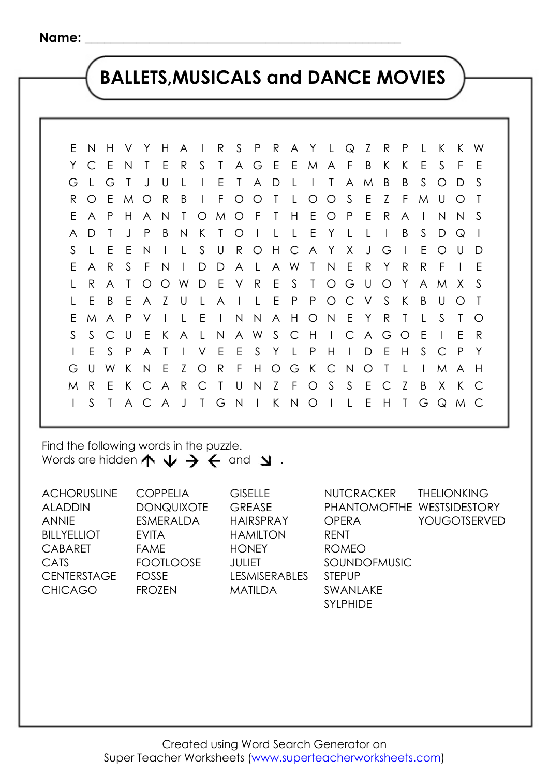## **BALLETS,MUSICALS and DANCE MOVIES**

E N H V Y H A I R S P R A Y L Q Z R P L K K W Y C E N T E R S T A G E E M A F B K K E S F E G L G T J U L I E T A D L I T A M B B S O D S R O E M O R B I F O O T L O O S E Z F M U O T E A P H A N T O M O F T H E O P E R A I N N S A D T J P B N K T O I L L E Y L L I B S D Q I S L E E N I L S U R O H C A Y X J G I E O U D E A R S F N I D D A L A W T N E R Y R R F I E L R A T O O W D E V R E S T O G U O Y A M X S L E B E A Z U L A I L E P P O C V S K B U O T E M A P V I L E I N N A H O N E Y R T L S T O S S C U E K A L N A W S C H I C A G O E I E R I E S P A T I V E E S Y L P H I D E H S C P Y G U W K N E Z O R F H O G K C N O T L I M A H M R E K C A R C T U N Z F O S S E C Z B X K C I S T A C A J T G N I K N O I L E H T G Q M C

Find the following words in the puzzle. Words are hidden  $\uparrow \psi \rightarrow \leftarrow$  and  $\searrow$ .

ACHORUSLINE ALADDIN ANNIE **BILLYELLIOT** CABARET CATS **CENTERSTAGE** CHICAGO COPPELIA **DONQUIXOTE** ESMERALDA EVITA FAME FOOTLOOSE FOSSE FROZEN **GISELLE** GREASE HAIRSPRAY HAMILTON **HONEY** JULIET LESMISERABLES MATILDA **NUTCRACKER** PHANTOMOFTHE WESTSIDESTORY OPERA RENT ROMEO SOUNDOFMUSIC STEPUP SWANLAKE SYLPHIDE THELIONKING YOUGOTSERVED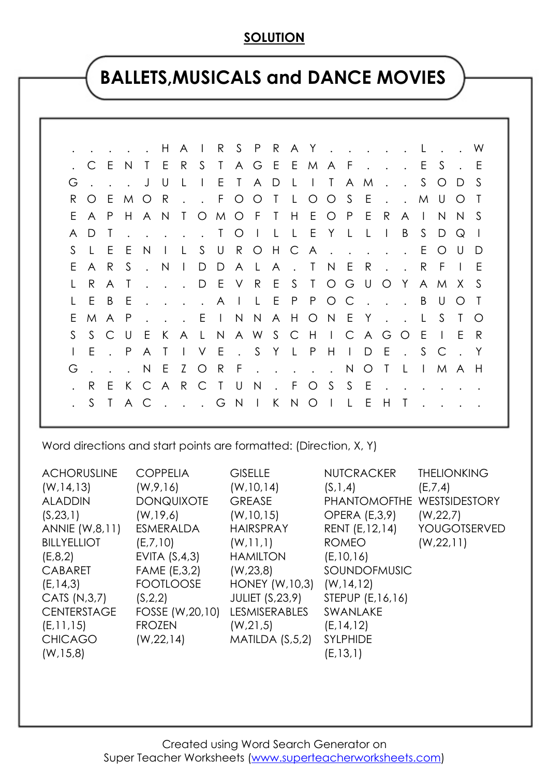### **SOLUTION**

### **BALLETS,MUSICALS and DANCE MOVIES**

|    |                      |                |        | . H                  |           |              |         |   | A I R S P R A Y L             |              |         |      |     |        |                                        |                         |           | . . W            |              |
|----|----------------------|----------------|--------|----------------------|-----------|--------------|---------|---|-------------------------------|--------------|---------|------|-----|--------|----------------------------------------|-------------------------|-----------|------------------|--------------|
|    | C E                  |                | N,     | TER                  |           |              | S.      |   | TAGEEMAFES                    |              |         |      |     |        |                                        |                         |           |                  | - E          |
| G  |                      |                |        | . JU                 |           | $\perp$      | $\Box$  | E | T A D                         | $\mathsf{L}$ | ITAM.   |      |     |        |                                        |                         | S O D     |                  | -S           |
| R. | O E                  |                |        | M O R                |           |              |         |   | $\cdot$ $\cdot$ FOOT LOOS     |              |         |      | E   |        |                                        | . M U O                 |           |                  |              |
| E. | A P                  |                | H      |                      |           |              |         |   | A N T O M O F T H E O P       |              |         |      | - E | R      |                                        | $A \mid$                | N.        | N S              |              |
| A  | D.                   | $\top$         |        |                      |           |              |         |   | . TOILLEYLLI                  |              |         |      |     |        | B                                      | S D Q                   |           |                  | $\mathbf{I}$ |
| S. | L E                  |                | E      | N                    | $\Box$    | $\mathsf{L}$ |         |   | S U R O H C A                 |              |         |      |     |        |                                        | E.                      | $\circ$ O | $\cup$           | D            |
| E  | $\mathsf{A}$         | R              | S.     | $\mathsf{N}$         |           |              |         |   | D D A L A . T N E             |              |         |      | R   |        | $\mathbf{r}$ . The set of $\mathbf{r}$ | R F                     |           | $\pm 1$          | E            |
|    | R.                   | $\mathsf{A}$   | $\top$ | $\mathbf{r}$         |           |              |         |   | . . D E V R E S T O G U O Y   |              |         |      |     |        |                                        |                         |           | A M X S          |              |
|    | E                    | $\overline{B}$ | - E    | $\sim$               |           |              |         |   | . A I L E P P O C             |              |         |      |     |        |                                        | $\cdot \cdot \cdot$ B U |           | $\left( \right)$ |              |
| E. | M                    | A P            |        | $\ddot{\phantom{a}}$ |           |              |         |   | . . E I N N A H O N E Y L S T |              |         |      |     |        |                                        |                         |           |                  | - 0          |
| S. | S.                   | C U            |        | $\mathsf{E}$ .       | K         |              |         |   | A L N A W S C H I C A G       |              |         |      |     |        | O E                                    |                         | $\Box$    | E.               | R            |
|    | E                    | $\cdot$ P      |        |                      | A T I V E |              |         |   | . S Y L P H I D E             |              |         |      |     |        |                                        | $\cdot$ S C             |           |                  | $\mathsf{Y}$ |
| G  | $\ddot{\phantom{a}}$ |                |        | . N E Z              |           |              | $\circ$ | R | F. NOT                        |              |         |      |     |        | $\mathsf{L}$                           | $\mathbf{L}$            |           | M A H            |              |
|    | R.                   | E.             |        | K C A R C T U N      |           |              |         |   |                               |              | . FOSSE |      |     | $\sim$ |                                        |                         |           |                  |              |
|    | S.                   |                | T A C  |                      |           |              |         |   | . G N I K N O I               |              |         | -L E |     | H      | $\top$                                 |                         |           |                  |              |
|    |                      |                |        |                      |           |              |         |   |                               |              |         |      |     |        |                                        |                         |           |                  |              |

Word directions and start points are formatted: (Direction, X, Y)

| <b>ACHORUSLINE</b> | <b>COPPELIA</b>   | <b>GISELLE</b>         | <b>NUTCRACKER</b>    | <b>THELIONKING</b>  |
|--------------------|-------------------|------------------------|----------------------|---------------------|
| (W, 14, 13)        | (W, 9, 16)        | (W, 10, 14)            | (S, 1, 4)            | (E,7,4)             |
| <b>ALADDIN</b>     | <b>DONQUIXOTE</b> | <b>GREASE</b>          | <b>PHANTOMOFTHE</b>  | WESTSIDESTORY       |
| (S, 23, 1)         | (W, 19, 6)        | (W, 10, 15)            | <b>OPERA (E,3,9)</b> | (W, 22, 7)          |
| ANNIE (W,8,11)     | <b>ESMERALDA</b>  | <b>HAIRSPRAY</b>       | RENT (E, 12, 14)     | <b>YOUGOTSERVED</b> |
| <b>BILLYELLIOT</b> | (E,7,10)          | (W, 11, 1)             | <b>ROMEO</b>         | (W, 22, 11)         |
| (E, 8, 2)          | EVITA $(S, 4, 3)$ | <b>HAMILTON</b>        | (E, 10, 16)          |                     |
| <b>CABARET</b>     | FAME (E,3,2)      | (W, 23, 8)             | SOUNDOFMUSIC         |                     |
| (E, 14, 3)         | <b>FOOTLOOSE</b>  | <b>HONEY (W, 10,3)</b> | (W, 14, 12)          |                     |
| CATS (N, 3, 7)     | (S, 2, 2)         | <b>JULIET (S,23,9)</b> | STEPUP (E, 16, 16)   |                     |
| <b>CENTERSTAGE</b> | FOSSE (W, 20, 10) | <b>LESMISERABLES</b>   | SWANLAKE             |                     |
| (E, 11, 15)        | <b>FROZEN</b>     | (W, 21, 5)             | (E, 14, 12)          |                     |
| <b>CHICAGO</b>     | (W, 22, 14)       | MATILDA $(S,5,2)$      | <b>SYLPHIDE</b>      |                     |
| (W, 15, 8)         |                   |                        | (E, 13, 1)           |                     |